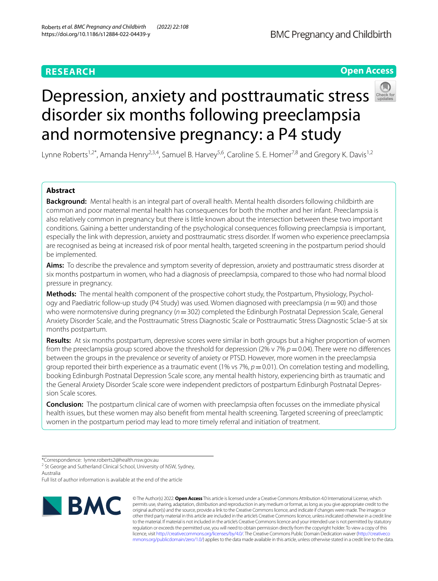# **RESEARCH**

# **Open Access**



# Depression, anxiety and posttraumatic stress disorder six months following preeclampsia and normotensive pregnancy: a P4 study

Lynne Roberts<sup>1,2\*</sup>, Amanda Henry<sup>2,3,4</sup>, Samuel B. Harvey<sup>5,6</sup>, Caroline S. E. Homer<sup>7,8</sup> and Gregory K. Davis<sup>1,2</sup>

# **Abstract**

**Background:** Mental health is an integral part of overall health. Mental health disorders following childbirth are common and poor maternal mental health has consequences for both the mother and her infant. Preeclampsia is also relatively common in pregnancy but there is little known about the intersection between these two important conditions. Gaining a better understanding of the psychological consequences following preeclampsia is important, especially the link with depression, anxiety and posttraumatic stress disorder. If women who experience preeclampsia are recognised as being at increased risk of poor mental health, targeted screening in the postpartum period should be implemented.

**Aims:** To describe the prevalence and symptom severity of depression, anxiety and posttraumatic stress disorder at six months postpartum in women, who had a diagnosis of preeclampsia, compared to those who had normal blood pressure in pregnancy.

**Methods:** The mental health component of the prospective cohort study, the Postpartum, Physiology, Psychology and Paediatric follow-up study (P4 Study) was used. Women diagnosed with preeclampsia (*n*=90) and those who were normotensive during pregnancy ( $n=302$ ) completed the Edinburgh Postnatal Depression Scale, General Anxiety Disorder Scale, and the Posttraumatic Stress Diagnostic Scale or Posttraumatic Stress Diagnostic Sclae-5 at six months postpartum.

**Results:** At six months postpartum, depressive scores were similar in both groups but a higher proportion of women from the preeclampsia group scored above the threshold for depression (2% v 7% *p* = 0.04). There were no differences between the groups in the prevalence or severity of anxiety or PTSD. However, more women in the preeclampsia group reported their birth experience as a traumatic event (1% vs 7%,  $p = 0.01$ ). On correlation testing and modelling, booking Edinburgh Postnatal Depression Scale score, any mental health history, experiencing birth as traumatic and the General Anxiety Disorder Scale score were independent predictors of postpartum Edinburgh Postnatal Depression Scale scores.

**Conclusion:** The postpartum clinical care of women with preeclampsia often focusses on the immediate physical health issues, but these women may also beneft from mental health screening. Targeted screening of preeclamptic women in the postpartum period may lead to more timely referral and initiation of treatment.

<sup>2</sup> St George and Sutherland Clinical School, University of NSW, Sydney, Australia

Full list of author information is available at the end of the article



© The Author(s) 2022. **Open Access** This article is licensed under a Creative Commons Attribution 4.0 International License, which permits use, sharing, adaptation, distribution and reproduction in any medium or format, as long as you give appropriate credit to the original author(s) and the source, provide a link to the Creative Commons licence, and indicate if changes were made. The images or other third party material in this article are included in the article's Creative Commons licence, unless indicated otherwise in a credit line to the material. If material is not included in the article's Creative Commons licence and your intended use is not permitted by statutory regulation or exceeds the permitted use, you will need to obtain permission directly from the copyright holder. To view a copy of this licence, visit [http://creativecommons.org/licenses/by/4.0/.](http://creativecommons.org/licenses/by/4.0/) The Creative Commons Public Domain Dedication waiver ([http://creativeco](http://creativecommons.org/publicdomain/zero/1.0/) [mmons.org/publicdomain/zero/1.0/](http://creativecommons.org/publicdomain/zero/1.0/)) applies to the data made available in this article, unless otherwise stated in a credit line to the data.

<sup>\*</sup>Correspondence: lynne.roberts2@health.nsw.gov.au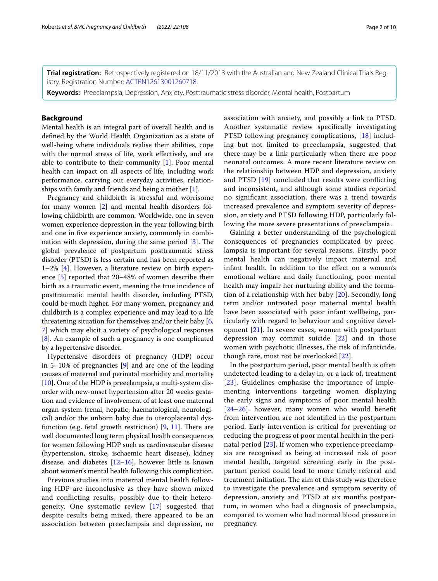**Trial registration:** Retrospectively registered on 18/11/2013 with the Australian and New Zealand Clinical Trials Registry. Registration Number: [ACTRN12613001260718](https://www.ctc.usyd.edu.au/our-work/specialist-areas/australian-new-zealand-clinical-trials-registry-anzctr/).

**Keywords:** Preeclampsia, Depression, Anxiety, Posttraumatic stress disorder, Mental health, Postpartum

# **Background**

Mental health is an integral part of overall health and is defned by the World Health Organization as a state of well-being where individuals realise their abilities, cope with the normal stress of life, work effectively, and are able to contribute to their community [[1\]](#page-7-0). Poor mental health can impact on all aspects of life, including work performance, carrying out everyday activities, relationships with family and friends and being a mother [\[1](#page-7-0)].

Pregnancy and childbirth is stressful and worrisome for many women [\[2](#page-7-1)] and mental health disorders following childbirth are common. Worldwide, one in seven women experience depression in the year following birth and one in fve experience anxiety, commonly in combination with depression, during the same period  $[3]$  $[3]$  $[3]$ . The global prevalence of postpartum posttraumatic stress disorder (PTSD) is less certain and has been reported as 1–2% [\[4](#page-7-3)]. However, a literature review on birth experience [\[5\]](#page-7-4) reported that 20–48% of women describe their birth as a traumatic event, meaning the true incidence of posttraumatic mental health disorder, including PTSD, could be much higher. For many women, pregnancy and childbirth is a complex experience and may lead to a life threatening situation for themselves and/or their baby [\[6](#page-7-5), [7\]](#page-7-6) which may elicit a variety of psychological responses [[8\]](#page-7-7). An example of such a pregnancy is one complicated by a hypertensive disorder.

Hypertensive disorders of pregnancy (HDP) occur in 5–10% of pregnancies [\[9](#page-7-8)] and are one of the leading causes of maternal and perinatal morbidity and mortality [[10\]](#page-7-9). One of the HDP is preeclampsia, a multi-system disorder with new-onset hypertension after 20 weeks gestation and evidence of involvement of at least one maternal organ system (renal, hepatic, haematological, neurological) and/or the unborn baby due to uteroplacental dysfunction (e.g. fetal growth restriction)  $[9, 11]$  $[9, 11]$  $[9, 11]$  $[9, 11]$  $[9, 11]$ . There are well documented long term physical health consequences for women following HDP such as cardiovascular disease (hypertension, stroke, ischaemic heart disease), kidney disease, and diabetes  $[12–16]$  $[12–16]$  $[12–16]$  $[12–16]$ , however little is known about women's mental health following this complication.

Previous studies into maternal mental health following HDP are inconclusive as they have shown mixed and conficting results, possibly due to their heterogeneity. One systematic review [[17](#page-8-1)] suggested that despite results being mixed, there appeared to be an association between preeclampsia and depression, no association with anxiety, and possibly a link to PTSD. Another systematic review specifcally investigating PTSD following pregnancy complications, [[18\]](#page-8-2) including but not limited to preeclampsia, suggested that there may be a link particularly when there are poor neonatal outcomes. A more recent literature review on the relationship between HDP and depression, anxiety and PTSD [\[19](#page-8-3)] concluded that results were conficting and inconsistent, and although some studies reported no signifcant association, there was a trend towards increased prevalence and symptom severity of depression, anxiety and PTSD following HDP, particularly following the more severe presentations of preeclampsia.

Gaining a better understanding of the psychological consequences of pregnancies complicated by preeclampsia is important for several reasons. Firstly, poor mental health can negatively impact maternal and infant health. In addition to the efect on a woman's emotional welfare and daily functioning, poor mental health may impair her nurturing ability and the formation of a relationship with her baby [\[20](#page-8-4)]. Secondly, long term and/or untreated poor maternal mental health have been associated with poor infant wellbeing, particularly with regard to behaviour and cognitive development [[21](#page-8-5)]. In severe cases, women with postpartum depression may commit suicide [[22](#page-8-6)] and in those women with psychotic illnesses, the risk of infanticide, though rare, must not be overlooked [\[22](#page-8-6)].

In the postpartum period, poor mental health is often undetected leading to a delay in, or a lack of, treatment [[23](#page-8-7)]. Guidelines emphasise the importance of implementing interventions targeting women displaying the early signs and symptoms of poor mental health  $[24-26]$  $[24-26]$  $[24-26]$ , however, many women who would benefit from intervention are not identifed in the postpartum period. Early intervention is critical for preventing or reducing the progress of poor mental health in the perinatal period [[23\]](#page-8-7). If women who experience preeclampsia are recognised as being at increased risk of poor mental health, targeted screening early in the postpartum period could lead to more timely referral and treatment initiation. The aim of this study was therefore to investigate the prevalence and symptom severity of depression, anxiety and PTSD at six months postpartum, in women who had a diagnosis of preeclampsia, compared to women who had normal blood pressure in pregnancy.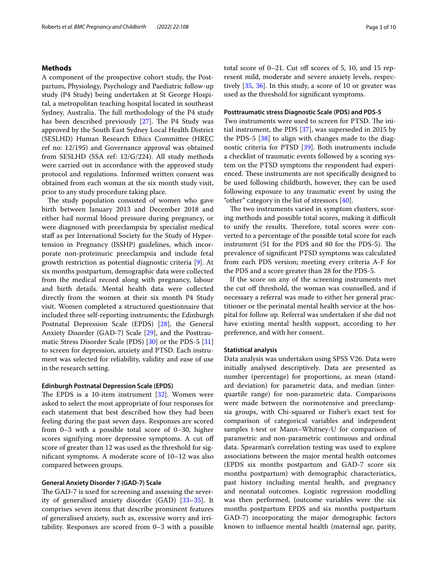# **Methods**

A component of the prospective cohort study, the Postpartum, Physiology, Psychology and Paediatric follow-up study (P4 Study) being undertaken at St George Hospital, a metropolitan teaching hospital located in southeast Sydney, Australia. The full methodology of the P4 study has been described previously  $[27]$ . The P4 Study was approved by the South East Sydney Local Health District (SESLHD) Human Research Ethics Committee (HREC ref no: 12/195) and Governance approval was obtained from SESLHD (SSA ref: 12/G/224). All study methods were carried out in accordance with the approved study protocol and regulations. Informed written consent was obtained from each woman at the six month study visit, prior to any study procedure taking place.

The study population consisted of women who gave birth between January 2013 and December 2018 and either had normal blood pressure during pregnancy, or were diagnosed with preeclampsia by specialist medical staff as per International Society for the Study of Hypertension in Pregnancy (ISSHP) guidelines, which incorporate non-proteinuric preeclampsia and include fetal growth restriction as potential diagnostic criteria [\[9](#page-7-8)]. At six months postpartum, demographic data were collected from the medical record along with pregnancy, labour and birth details. Mental health data were collected directly from the women at their six month P4 Study visit. Women completed a structured questionnaire that included three self-reporting instruments; the Edinburgh Postnatal Depression Scale (EPDS) [\[28\]](#page-8-11), the General Anxiety Disorder (GAD-7) Scale [\[29\]](#page-8-12), and the Posttraumatic Stress Disorder Scale (PDS) [[30\]](#page-8-13) or the PDS-5 [[31](#page-8-14)] to screen for depression, anxiety and PTSD. Each instrument was selected for reliability, validity and ease of use in the research setting.

#### **Edinburgh Postnatal Depression Scale (EPDS)**

The EPDS is a 10-item instrument  $[32]$  $[32]$ . Women were asked to select the most appropriate of four responses for each statement that best described how they had been feeling during the past seven days. Responses are scored from 0–3 with a possible total score of 0–30, higher scores signifying more depressive symptoms. A cut of score of greater than 12 was used as the threshold for signifcant symptoms. A moderate score of 10–12 was also compared between groups.

#### **General Anxiety Disorder 7 (GAD‑7) Scale**

The GAD-7 is used for screening and assessing the severity of generalised anxiety disorder (GAD) [[33–](#page-8-16)[35\]](#page-8-17). It comprises seven items that describe prominent features of generalised anxiety, such as, excessive worry and irritability. Responses are scored from 0–3 with a possible total score of 0-21. Cut off scores of 5, 10, and 15 represent mild, moderate and severe anxiety levels, respectively [[35,](#page-8-17) [36\]](#page-8-18). In this study, a score of 10 or greater was used as the threshold for signifcant symptoms.

#### **Posttraumatic stress Diagnostic Scale (PDS) and PDS‑5**

Two instruments were used to screen for PTSD. The initial instrument, the PDS [[37](#page-8-19)], was superseded in 2015 by the PDS-5 [\[38](#page-8-20)] to align with changes made to the diagnostic criteria for PTSD [[39\]](#page-8-21). Both instruments include a checklist of traumatic events followed by a scoring system on the PTSD symptoms the respondent had experienced. These instruments are not specifically designed to be used following childbirth, however, they can be used following exposure to any traumatic event by using the "other" category in the list of stressors [\[40\]](#page-8-22).

The two instruments varied in symptom clusters, scoring methods and possible total scores, making it difficult to unify the results. Therefore, total scores were converted to a percentage of the possible total score for each instrument (51 for the PDS and 80 for the PDS-5). The prevalence of signifcant PTSD symptoms was calculated from each PDS version; meeting every criteria A-F for the PDS and a score greater than 28 for the PDS-5.

If the score on any of the screening instruments met the cut off threshold, the woman was counselled, and if necessary a referral was made to either her general practitioner or the perinatal mental health service at the hospital for follow up. Referral was undertaken if she did not have existing mental health support, according to her preference, and with her consent.

#### **Statistical analysis**

Data analysis was undertaken using SPSS V26. Data were initially analysed descriptively. Data are presented as number (percentage) for proportions, as mean (standard deviation) for parametric data, and median (interquartile range) for non-parametric data. Comparisons were made between the normotensive and preeclampsia groups, with Chi-squared or Fisher's exact test for comparison of categorical variables and independent samples t-test or Mann–Whitney-U for comparison of parametric and non-parametric continuous and ordinal data. Spearman's correlation testing was used to explore associations between the major mental health outcomes (EPDS six months postpartum and GAD-7 score six months postpartum) with demographic characteristics, past history including mental health, and pregnancy and neonatal outcomes. Logistic regression modelling was then performed, (outcome variables were the six months postpartum EPDS and six months postpartum GAD-7) incorporating the major demographic factors known to infuence mental health (maternal age, parity,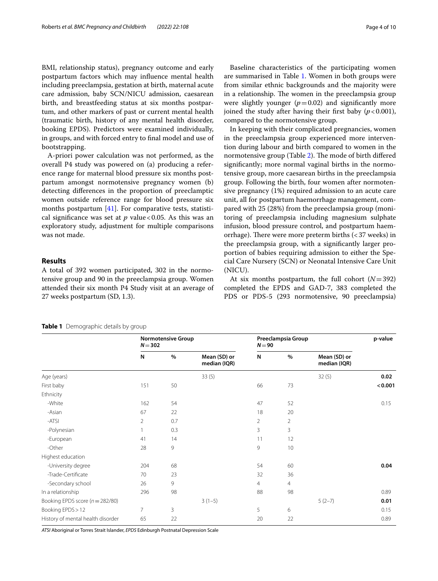BMI, relationship status), pregnancy outcome and early postpartum factors which may infuence mental health including preeclampsia, gestation at birth, maternal acute care admission, baby SCN/NICU admission, caesarean birth, and breastfeeding status at six months postpartum, and other markers of past or current mental health (traumatic birth, history of any mental health disorder, booking EPDS). Predictors were examined individually, in groups, and with forced entry to fnal model and use of bootstrapping.

A-priori power calculation was not performed, as the overall P4 study was powered on (a) producing a reference range for maternal blood pressure six months postpartum amongst normotensive pregnancy women (b) detecting diferences in the proportion of preeclamptic women outside reference range for blood pressure six months postpartum [[41\]](#page-8-23). For comparative tests, statistical significance was set at  $p$  value < 0.05. As this was an exploratory study, adjustment for multiple comparisons was not made.

## **Results**

A total of 392 women participated, 302 in the normotensive group and 90 in the preeclampsia group. Women attended their six month P4 Study visit at an average of 27 weeks postpartum (SD, 1.3).

Baseline characteristics of the participating women are summarised in Table [1](#page-3-0). Women in both groups were from similar ethnic backgrounds and the majority were in a relationship. The women in the preeclampsia group were slightly younger  $(p=0.02)$  and significantly more joined the study after having their first baby  $(p < 0.001)$ , compared to the normotensive group.

In keeping with their complicated pregnancies, women in the preeclampsia group experienced more intervention during labour and birth compared to women in the normotensive group (Table [2\)](#page-4-0). The mode of birth differed signifcantly; more normal vaginal births in the normotensive group, more caesarean births in the preeclampsia group. Following the birth, four women after normotensive pregnancy (1%) required admission to an acute care unit, all for postpartum haemorrhage management, compared with 25 (28%) from the preeclampsia group (monitoring of preeclampsia including magnesium sulphate infusion, blood pressure control, and postpartum haemorrhage). There were more preterm births  $\left( < 37 \text{ weeks} \right)$  in the preeclampsia group, with a signifcantly larger proportion of babies requiring admission to either the Special Care Nursery (SCN) or Neonatal Intensive Care Unit (NICU).

At six months postpartum, the full cohort (*N*=392) completed the EPDS and GAD-7, 383 completed the PDS or PDS-5 (293 normotensive, 90 preeclampsia)

#### <span id="page-3-0"></span>**Table 1** Demographic details by group

**Normotensive Group** *N*=**302 Preeclampsia Group** *N*=**90 p-value N % Mean (SD) or median (IQR) N % Mean (SD) or median (IQR)** Age (years) 33 (5) 32 (5) **0.02** First baby 151 50 66 73 **<0.001** Ethnicity -White 162 54 52 0.15 -Asian 18 20 22 18 20 -ATSI 2 0.7 2 2 2 -Polynesian 1 0.3 3 3 3 -European 12 14 14 14 15 12 -Other 28 9 9 9 10 Highest education -University degree 204 68 54 60 **0.04 0.04** -Trade-Certificate 70 23 36 32 36 -Secondary school 26 9 4 4 In a relationship 296 98 88 98 0.89 Booking EPDS score (*n*=282/80) **3** (1-5) 5 (2-7) **0.01** Booking EPDS > 12 7 3 5 6 0.15 History of mental health disorder  $65$  22 20 22 22 0.89

*ATSI* Aboriginal or Torres Strait Islander, *EPDS* Edinburgh Postnatal Depression Scale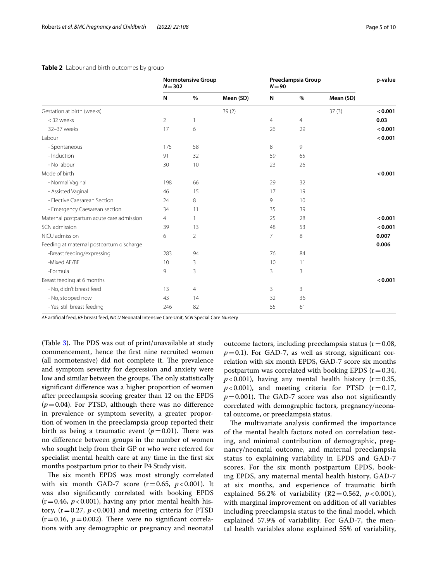<span id="page-4-0"></span>

|                                          | <b>Normotensive Group</b><br>$N = 302$ |                |           | Preeclampsia Group<br>$N = 90$ |      |           | p-value |
|------------------------------------------|----------------------------------------|----------------|-----------|--------------------------------|------|-----------|---------|
|                                          | N                                      | $\%$           | Mean (SD) | N                              | $\%$ | Mean (SD) |         |
| Gestation at birth (weeks)               |                                        |                | 39(2)     |                                |      | 37(3)     | < 0.001 |
| <32 weeks                                | $\overline{2}$                         | 1              |           | 4                              | 4    |           | 0.03    |
| 32-37 weeks                              | 17                                     | 6              |           | 26                             | 29   |           | < 0.001 |
| Labour                                   |                                        |                |           |                                |      |           | < 0.001 |
| - Spontaneous                            | 175                                    | 58             |           | 8                              | 9    |           |         |
| - Induction                              | 91                                     | 32             |           | 59                             | 65   |           |         |
| - No labour                              | 30                                     | 10             |           | 23                             | 26   |           |         |
| Mode of birth                            |                                        |                |           |                                |      |           | < 0.001 |
| - Normal Vaginal                         | 198                                    | 66             |           | 29                             | 32   |           |         |
| - Assisted Vaginal                       | 46                                     | 15             |           | 17                             | 19   |           |         |
| - Elective Caesarean Section             | 24                                     | $\,8\,$        |           | 9                              | 10   |           |         |
| - Emergency Caesarean section            | 34                                     | 11             |           | 35                             | 39   |           |         |
| Maternal postpartum acute care admission | $\overline{4}$                         | $\mathbf{1}$   |           | 25                             | 28   |           | < 0.001 |
| SCN admission                            | 39                                     | 13             |           | 48                             | 53   |           | < 0.001 |
| NICU admission                           | 6                                      | $\overline{2}$ |           | $\overline{7}$                 | 8    |           | 0.007   |
| Feeding at maternal postpartum discharge |                                        |                |           |                                |      |           | 0.006   |
| -Breast feeding/expressing               | 283                                    | 94             |           | 76                             | 84   |           |         |
| -Mixed AF/BF                             | 10                                     | 3              |           | 10                             | 11   |           |         |
| -Formula                                 | 9                                      | 3              |           | 3                              | 3    |           |         |
| Breast feeding at 6 months               |                                        |                |           |                                |      |           | < 0.001 |
| - No, didn't breast feed                 | 13                                     | $\overline{4}$ |           | 3                              | 3    |           |         |
| - No, stopped now                        | 43                                     | 14             |           | 32                             | 36   |           |         |
| - Yes, still breast feeding              | 246                                    | 82             |           | 55                             | 61   |           |         |
|                                          |                                        |                |           |                                |      |           |         |

*AF* artifcial feed, *BF* breast feed, *NICU* Neonatal Intensive Care Unit, *SCN* Special Care Nursery

(Table  $3$ ). The PDS was out of print/unavailable at study commencement, hence the frst nine recruited women (all normotensive) did not complete it. The prevalence and symptom severity for depression and anxiety were low and similar between the groups. The only statistically signifcant diference was a higher proportion of women after preeclampsia scoring greater than 12 on the EPDS  $(p=0.04)$ . For PTSD, although there was no difference in prevalence or symptom severity, a greater proportion of women in the preeclampsia group reported their birth as being a traumatic event  $(p=0.01)$ . There was no diference between groups in the number of women who sought help from their GP or who were referred for specialist mental health care at any time in the frst six months postpartum prior to their P4 Study visit.

The six month EPDS was most strongly correlated with six month GAD-7 score  $(r=0.65, p<0.001)$ . It was also signifcantly correlated with booking EPDS  $(r=0.46, p<0.001)$ , having any prior mental health history,  $(r=0.27, p<0.001)$  and meeting criteria for PTSD  $(r=0.16, p=0.002)$ . There were no significant correlations with any demographic or pregnancy and neonatal outcome factors, including preeclampsia status  $(r=0.08,$  $p=0.1$ ). For GAD-7, as well as strong, significant correlation with six month EPDS, GAD-7 score six months postpartum was correlated with booking EPDS  $(r=0.34,$  $p$  < 0.001), having any mental health history ( $r = 0.35$ ,  $p$ <0.001), and meeting criteria for PTSD ( $r$ =0.17,  $p=0.001$ ). The GAD-7 score was also not significantly correlated with demographic factors, pregnancy/neonatal outcome, or preeclampsia status.

The multivariate analysis confirmed the importance of the mental health factors noted on correlation testing, and minimal contribution of demographic, pregnancy/neonatal outcome, and maternal preeclampsia status to explaining variability in EPDS and GAD-7 scores. For the six month postpartum EPDS, booking EPDS, any maternal mental health history, GAD-7 at six months, and experience of traumatic birth explained 56.2% of variability (R2=0.562,  $p < 0.001$ ), with marginal improvement on addition of all variables including preeclampsia status to the fnal model, which explained 57.9% of variability. For GAD-7, the mental health variables alone explained 55% of variability,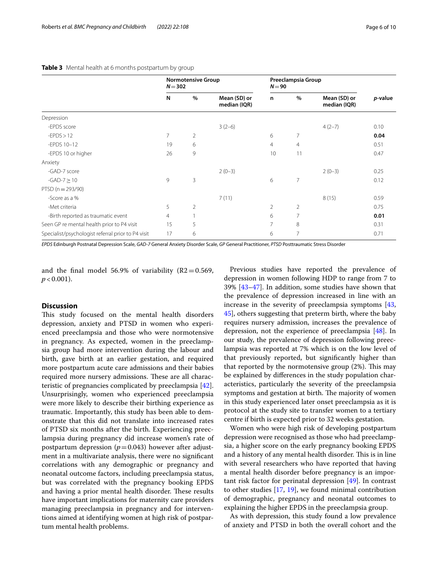#### <span id="page-5-0"></span>**Table 3** Mental health at 6 months postpartum by group

|                                                    | <b>Normotensive Group</b><br>$N = 302$ |                |                              | Preeclampsia Group<br>$N = 90$ |                |                              |                 |
|----------------------------------------------------|----------------------------------------|----------------|------------------------------|--------------------------------|----------------|------------------------------|-----------------|
|                                                    | N                                      | $\%$           | Mean (SD) or<br>median (IQR) | n                              | %              | Mean (SD) or<br>median (IQR) | <i>p</i> -value |
| Depression                                         |                                        |                |                              |                                |                |                              |                 |
| -EPDS score                                        |                                        |                | $3(2-6)$                     |                                |                | $4(2-7)$                     | 0.10            |
| $-EPDS > 12$                                       | 7                                      | $\overline{2}$ |                              | 6                              | 7              |                              | 0.04            |
| -EPDS 10-12                                        | 19                                     | 6              |                              | $\overline{4}$                 | $\overline{4}$ |                              | 0.51            |
| -EPDS 10 or higher                                 | 26                                     | 9              |                              | 10                             | 11             |                              | 0.47            |
| Anxiety                                            |                                        |                |                              |                                |                |                              |                 |
| -GAD-7 score                                       |                                        |                | $2(0-3)$                     |                                |                | $2(0-3)$                     | 0.25            |
| $-GAD-7 \geq 10$                                   | 9                                      | 3              |                              | 6                              | 7              |                              | 0.12            |
| $PTSD (n = 293/90)$                                |                                        |                |                              |                                |                |                              |                 |
| -Score as a %                                      |                                        |                | 7(11)                        |                                |                | 8(15)                        | 0.59            |
| -Met criteria                                      | 5                                      | $\overline{2}$ |                              | $\overline{2}$                 | $\overline{2}$ |                              | 0.75            |
| -Birth reported as traumatic event                 | 4                                      |                |                              | 6                              | 7              |                              | 0.01            |
| Seen GP re mental health prior to P4 visit         | 15                                     | 5              |                              | 7                              | 8              |                              | 0.31            |
| Specialist/psychologist referral prior to P4 visit | 17                                     | 6              |                              | 6                              | 7              |                              | 0.71            |

*EPDS* Edinburgh Postnatal Depression Scale, *GAD-7* General Anxiety Disorder Scale, *GP* General Practitioner, *PTSD* Posttraumatic Stress Disorder

and the final model 56.9% of variability  $(R2=0.569)$ ,  $p < 0.001$ ).

## **Discussion**

This study focused on the mental health disorders depression, anxiety and PTSD in women who experienced preeclampsia and those who were normotensive in pregnancy. As expected, women in the preeclampsia group had more intervention during the labour and birth, gave birth at an earlier gestation, and required more postpartum acute care admissions and their babies required more nursery admissions. These are all characteristic of pregnancies complicated by preeclampsia [\[42](#page-8-24)]. Unsurprisingly, women who experienced preeclampsia were more likely to describe their birthing experience as traumatic. Importantly, this study has been able to demonstrate that this did not translate into increased rates of PTSD six months after the birth. Experiencing preeclampsia during pregnancy did increase women's rate of postpartum depression  $(p=0.043)$  however after adjustment in a multivariate analysis, there were no signifcant correlations with any demographic or pregnancy and neonatal outcome factors, including preeclampsia status, but was correlated with the pregnancy booking EPDS and having a prior mental health disorder. These results have important implications for maternity care providers managing preeclampsia in pregnancy and for interventions aimed at identifying women at high risk of postpartum mental health problems.

Previous studies have reported the prevalence of depression in women following HDP to range from 7 to 39% [[43–](#page-8-25)[47](#page-8-26)]. In addition, some studies have shown that the prevalence of depression increased in line with an increase in the severity of preeclampsia symptoms [[43](#page-8-25), [45\]](#page-8-27), others suggesting that preterm birth, where the baby requires nursery admission, increases the prevalence of depression, not the experience of preeclampsia [[48\]](#page-8-28). In our study, the prevalence of depression following preeclampsia was reported at 7% which is on the low level of that previously reported, but signifcantly higher than that reported by the normotensive group  $(2%)$ . This may be explained by diferences in the study population characteristics, particularly the severity of the preeclampsia symptoms and gestation at birth. The majority of women in this study experienced later onset preeclampsia as it is protocol at the study site to transfer women to a tertiary centre if birth is expected prior to 32 weeks gestation.

Women who were high risk of developing postpartum depression were recognised as those who had preeclampsia, a higher score on the early pregnancy booking EPDS and a history of any mental health disorder. This is in line with several researchers who have reported that having a mental health disorder before pregnancy is an important risk factor for perinatal depression [[49\]](#page-8-29). In contrast to other studies [\[17](#page-8-1), [19](#page-8-3)], we found minimal contribution of demographic, pregnancy and neonatal outcomes to explaining the higher EPDS in the preeclampsia group.

As with depression, this study found a low prevalence of anxiety and PTSD in both the overall cohort and the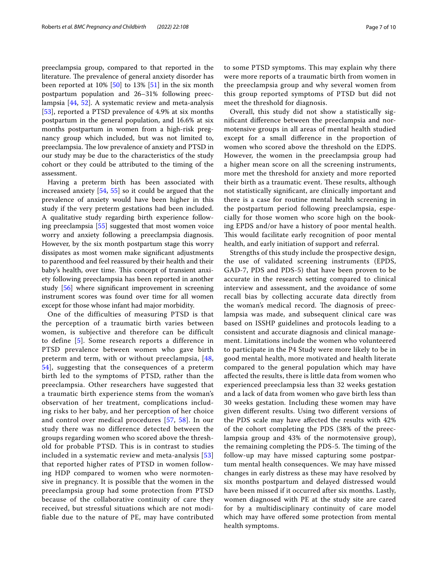preeclampsia group, compared to that reported in the literature. The prevalence of general anxiety disorder has been reported at 10% [\[50\]](#page-8-30) to 13% [\[51](#page-8-31)] in the six month postpartum population and 26–31% following preeclampsia [[44,](#page-8-32) [52](#page-8-33)]. A systematic review and meta-analysis [[53\]](#page-8-34), reported a PTSD prevalence of 4.9% at six months postpartum in the general population, and 16.6% at six months postpartum in women from a high-risk pregnancy group which included, but was not limited to, preeclampsia. The low prevalence of anxiety and PTSD in our study may be due to the characteristics of the study cohort or they could be attributed to the timing of the assessment.

Having a preterm birth has been associated with increased anxiety [\[54,](#page-8-35) [55](#page-8-36)] so it could be argued that the prevalence of anxiety would have been higher in this study if the very preterm gestations had been included. A qualitative study regarding birth experience following preeclampsia [\[55](#page-8-36)] suggested that most women voice worry and anxiety following a preeclampsia diagnosis. However, by the six month postpartum stage this worry dissipates as most women make signifcant adjustments to parenthood and feel reassured by their health and their baby's health, over time. This concept of transient anxiety following preeclampsia has been reported in another study [\[56](#page-8-37)] where signifcant improvement in screening instrument scores was found over time for all women except for those whose infant had major morbidity.

One of the difficulties of measuring PTSD is that the perception of a traumatic birth varies between women, is subjective and therefore can be difficult to define [[5\]](#page-7-4). Some research reports a difference in PTSD prevalence between women who gave birth preterm and term, with or without preeclampsia, [[48](#page-8-28), [54\]](#page-8-35), suggesting that the consequences of a preterm birth led to the symptoms of PTSD, rather than the preeclampsia. Other researchers have suggested that a traumatic birth experience stems from the woman's observation of her treatment, complications including risks to her baby, and her perception of her choice and control over medical procedures [\[57,](#page-9-0) [58](#page-9-1)]. In our study there was no difference detected between the groups regarding women who scored above the threshold for probable PTSD. This is in contrast to studies included in a systematic review and meta-analysis [[53](#page-8-34)] that reported higher rates of PTSD in women following HDP compared to women who were normotensive in pregnancy. It is possible that the women in the preeclampsia group had some protection from PTSD because of the collaborative continuity of care they received, but stressful situations which are not modifiable due to the nature of PE, may have contributed to some PTSD symptoms. This may explain why there were more reports of a traumatic birth from women in the preeclampsia group and why several women from this group reported symptoms of PTSD but did not meet the threshold for diagnosis.

Overall, this study did not show a statistically signifcant diference between the preeclampsia and normotensive groups in all areas of mental health studied except for a small diference in the proportion of women who scored above the threshold on the EDPS. However, the women in the preeclampsia group had a higher mean score on all the screening instruments, more met the threshold for anxiety and more reported their birth as a traumatic event. These results, although not statistically signifcant, are clinically important and there is a case for routine mental health screening in the postpartum period following preeclampsia, especially for those women who score high on the booking EPDS and/or have a history of poor mental health. This would facilitate early recognition of poor mental health, and early initiation of support and referral.

Strengths of this study include the prospective design, the use of validated screening instruments (EPDS, GAD-7, PDS and PDS-5) that have been proven to be accurate in the research setting compared to clinical interview and assessment, and the avoidance of some recall bias by collecting accurate data directly from the woman's medical record. The diagnosis of preeclampsia was made, and subsequent clinical care was based on ISSHP guidelines and protocols leading to a consistent and accurate diagnosis and clinical management. Limitations include the women who volunteered to participate in the P4 Study were more likely to be in good mental health, more motivated and health literate compared to the general population which may have afected the results, there is little data from women who experienced preeclampsia less than 32 weeks gestation and a lack of data from women who gave birth less than 30 weeks gestation. Including these women may have given diferent results. Using two diferent versions of the PDS scale may have afected the results with 42% of the cohort completing the PDS (38% of the preeclampsia group and 43% of the normotensive group), the remaining completing the PDS-5. The timing of the follow-up may have missed capturing some postpartum mental health consequences. We may have missed changes in early distress as these may have resolved by six months postpartum and delayed distressed would have been missed if it occurred after six months. Lastly, women diagnosed with PE at the study site are cared for by a multidisciplinary continuity of care model which may have offered some protection from mental health symptoms.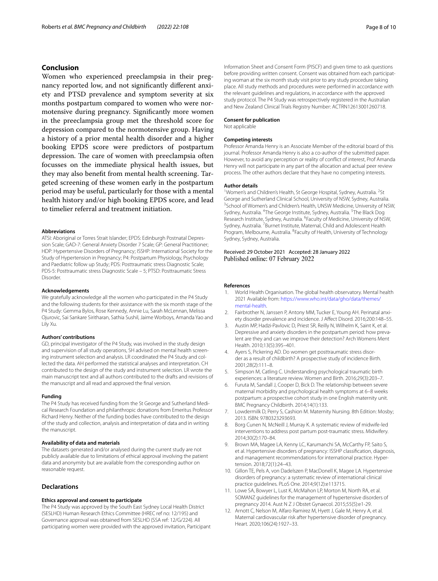# **Conclusion**

Women who experienced preeclampsia in their pregnancy reported low, and not signifcantly diferent anxiety and PTSD prevalence and symptom severity at six months postpartum compared to women who were normotensive during pregnancy. Signifcantly more women in the preeclampsia group met the threshold score for depression compared to the normotensive group. Having a history of a prior mental health disorder and a higher booking EPDS score were predictors of postpartum depression. The care of women with preeclampsia often focusses on the immediate physical health issues, but they may also beneft from mental health screening. Targeted screening of these women early in the postpartum period may be useful, particularly for those with a mental health history and/or high booking EPDS score, and lead to timelier referral and treatment initiation.

#### **Abbreviations**

ATSI: Aboriginal or Torres Strait Islander; EPDS: Edinburgh Postnatal Depression Scale; GAD-7: General Anxiety Disorder 7 Scale; GP: General Practitioner; HDP: Hypertensive Disorders of Pregnancy; ISSHP: International Society for the Study of Hypertension in Pregnancy; P4: Postpartum Physiology, Psychology and Paediatric follow up Study; PDS: Posttraumatic stress Diagnostic Scale; PDS-5: Posttraumatic stress Diagnostic Scale – 5; PTSD: Posttraumatic Stress Disorder.

#### **Acknowledgements**

We gratefully acknowledge all the women who participated in the P4 Study and the following students for their assistance with the six month stage of the P4 Study: Gemma Bylos, Rose Kennedy, Annie Lu, Sarah McLennan, Melissa Ojurovic, Sai Sankare Siritharan, Sathia Sushil, Jaime Worboys, Amanda Yao and Lily Xu.

#### **Authors' contributions**

GD, principal investigator of the P4 Study, was involved in the study design and supervision of all study operations, SH advised on mental health screening instrument selection and analysis. LR coordinated the P4 Study and collected the data. AH performed the statistical analyses and interpretation. CH contributed to the design of the study and instrument selection. LR wrote the main manuscript text and all authors contributed to the drafts and revisions of the manuscript and all read and approved the fnal version.

#### **Funding**

The P4 Study has received funding from the St George and Sutherland Medical Research Foundation and philanthropic donations from Emeritus Professor Richard Henry. Neither of the funding bodies have contributed to the design of the study and collection, analysis and interpretation of data and in writing the manuscript.

#### **Availability of data and materials**

The datasets generated and/or analysed during the current study are not publicly available due to limitations of ethical approval involving the patient data and anonymity but are available from the corresponding author on reasonable request.

## **Declarations**

#### **Ethics approval and consent to participate**

The P4 Study was approved by the South East Sydney Local Health District (SESLHD) Human Research Ethics Committee (HREC ref no: 12/195) and Governance approval was obtained from SESLHD (SSA ref: 12/G/224). All participating women were provided with the approved invitation, Participant Information Sheet and Consent Form (PISCF) and given time to ask questions before providing written consent. Consent was obtained from each participating woman at the six month study visit prior to any study procedure taking place. All study methods and procedures were performed in accordance with the relevant guidelines and regulations, in accordance with the approved study protocol. The P4 Study was retrospectively registered in the Australian and New Zealand Clinical Trials Registry Number: ACTRN12613001260718.

#### **Consent for publication**

Not applicable

#### **Competing interests**

Professor Amanda Henry is an Associate Member of the editorial board of this journal. Professor Amanda Henry is also a co-author of the submitted paper. However, to avoid any perception or reality of confict of interest, Prof Amanda Henry will not participate in any part of the allocation and actual peer review process. The other authors declare that they have no competing interests.

#### **Author details**

<sup>1</sup>Women's and Children's Health, St George Hospital, Sydney, Australia. <sup>2</sup>St George and Sutherland Clinical School, University of NSW, Sydney, Australia. 3 <sup>3</sup> School of Women's and Children's Health, UNSW Medicine, University of NSW, Sydney, Australia. <sup>4</sup>The George Institute, Sydney, Australia. <sup>5</sup>The Black Dog Research Institute, Sydney, Australia. <sup>6</sup> Faculty of Medicine, University of NSW, Sydney, Australia.<sup>7</sup> Burnet Institute, Maternal, Child and Adolescent Health Program, Melbourne, Australia. <sup>8</sup> Faculty of Health, University of Technology Sydney, Sydney, Australia.

#### Received: 29 October 2021 Accepted: 28 January 2022 Published online: 07 February 2022

#### **References**

- <span id="page-7-0"></span>1. World Health Organisation. The global health observatory. Mental health 2021 Available from: [https://www.who.int/data/gho/data/themes/](https://www.who.int/data/gho/data/themes/mental-health) [mental-health](https://www.who.int/data/gho/data/themes/mental-health).
- <span id="page-7-1"></span>2. Fairbrother N, Janssen P, Antony MM, Tucker E, Young AH. Perinatal anxiety disorder prevalence and incidence. J Afect Disord. 2016;200:148–55.
- <span id="page-7-2"></span>Austin MP, Hadzi-Pavlovic D, Priest SR, Reilly N, Wilhelm K, Saint K, et al. Depressive and anxiety disorders in the postpartum period: how prevalent are they and can we improve their detection? Arch Womens Ment Health. 2010;13(5):395–401.
- <span id="page-7-3"></span>4. Ayers S, Pickering AD. Do women get posttraumatic stress disorder as a result of childbirth? A prospective study of incidence Birth. 2001;28(2):111–8.
- <span id="page-7-4"></span>5. Simpson M, Catling C. Understanding psychological traumatic birth experiences: a literature review. Women and Birth. 2016;29(3):203–7.
- <span id="page-7-5"></span>6. Furuta M, Sandall J, Cooper D, Bick D. The relationship between severe maternal morbidity and psychological health symptoms at 6–8 weeks postpartum: a prospective cohort study in one English maternity unit. BMC Pregnancy Childbirth. 2014;14(1):133.
- <span id="page-7-6"></span>7. Lowdermilk D, Perry S, Cashion M. Maternity Nursing. 8th Edition: Mosby; 2013. ISBN: 9780323293693.
- <span id="page-7-7"></span>8. Borg Cunen N, McNeill J, Murray K. A systematic review of midwife-led interventions to address post partum post-traumatic stress. Midwifery. 2014;30(2):170–84.
- <span id="page-7-8"></span>9. Brown MA, Magee LA, Kenny LC, Karumanchi SA, McCarthy FP, Saito S, et al. Hypertensive disorders of pregnancy: ISSHP classifcation, diagnosis, and management recommendations for international practice. Hypertension. 2018;72(1):24–43.
- <span id="page-7-9"></span>10. Gillon TE, Pels A, von Dadelszen P, MacDonell K, Magee LA. Hypertensive disorders of pregnancy: a systematic review of international clinical practice guidelines. PLoS One. 2014;9(12):e113715.
- <span id="page-7-10"></span>11. Lowe SA, Bowyer L, Lust K, McMahon LP, Morton M, North RA, et al. SOMANZ guidelines for the management of hypertensive disorders of pregnancy 2014. Aust N Z J Obstet Gynaecol. 2015;55(5):e1-29.
- <span id="page-7-11"></span>12. Arnott C, Nelson M, Alfaro Ramirez M, Hyett J, Gale M, Henry A, et al. Maternal cardiovascular risk after hypertensive disorder of pregnancy. Heart. 2020;106(24):1927–33.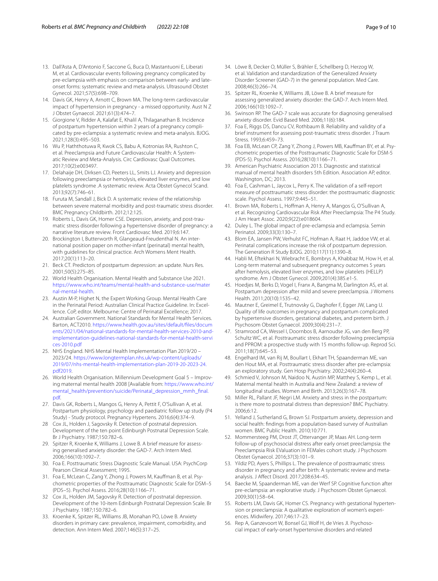- 13. Dall'Asta A, D'Antonio F, Saccone G, Buca D, Mastantuoni E, Liberati M, et al. Cardiovascular events following pregnancy complicated by pre-eclampsia with emphasis on comparison between early- and lateonset forms: systematic review and meta-analysis. Ultrasound Obstet Gynecol. 2021;57(5):698–709.
- 14. Davis GK, Henry A, Arnott C, Brown MA. The long-term cardiovascular impact of hypertension in pregnancy - a missed opportunity. Aust N Z J Obstet Gynaecol. 2021;61(3):474–7.
- 15. Giorgione V, Ridder A, Kalafat E, Khalil A, Thilaganathan B. Incidence of postpartum hypertension within 2 years of a pregnancy complicated by pre-eclampsia: a systematic review and meta-analysis. BJOG. 2021;128(3):495–503.
- <span id="page-8-0"></span>16 Wu P, Haththotuwa R, Kwok CS, Babu A, Kotronias RA, Rushton C, et al. Preeclampsia and Future Cardiovascular Health: A Systematic Review and Meta-Analysis. Circ Cardiovasc Qual Outcomes. 2017;10(2):e003497.
- <span id="page-8-1"></span>17. Delahaije DH, Dirksen CD, Peeters LL, Smits LJ. Anxiety and depression following preeclampsia or hemolysis, elevated liver enzymes, and low platelets syndrome .A systematic review. Acta Obstet Gynecol Scand. 2013;92(7):746–61.
- <span id="page-8-2"></span>18. Furuta M, Sandall J, Bick D. A systematic review of the relationship between severe maternal morbidity and post-traumatic stress disorder. BMC Pregnancy Childbirth. 2012;12:125.
- <span id="page-8-3"></span>19. Roberts L, Davis GK, Homer CSE. Depression, anxiety, and post-traumatic stress disorder following a hypertensive disorder of pregnancy: a narrative literature review. Front Cardiovasc Med. 2019;6:147.
- <span id="page-8-4"></span>20. Brockington I, Butterworth R, Glangeaud-Freudenthal N. An international position paper on mother-infant (perinatal) mental health, with guidelines for clinical practice. Arch Womens Ment Health. 2017;20(1):113–20.
- <span id="page-8-5"></span>21. Beck CT. Predictors of postpartum depression: an update. Nurs Res. 2001;50(5):275–85.
- <span id="page-8-6"></span>22. World Health Organisation. Mental Health and Substance Use 2021. [https://www.who.int/teams/mental-health-and-substance-use/mater](https://www.who.int/teams/mental-health-and-substance-use/maternal-mental-health) [nal-mental-health](https://www.who.int/teams/mental-health-and-substance-use/maternal-mental-health).
- <span id="page-8-7"></span>23. Austin M-P, Highet N, the Expert Working Group. Mental Health Care in the Perinatal Period: Australian Clinical Practice Guideline. In: Excellence. CoP, editor. Melbourne: Centre of Perinatal Excellence; 2017.
- <span id="page-8-8"></span>24. Australian Government. National Standards for Mental Health Services. Barton, ACT2010. [https://www.health.gov.au/sites/default/fles/docum](https://www.health.gov.au/sites/default/files/documents/2021/04/national-standards-for-mental-health-services-2010-and-implementation-guidelines-national-standards-for-mental-health-services-2010.pdf) [ents/2021/04/national-standards-for-mental-health-services-2010-and](https://www.health.gov.au/sites/default/files/documents/2021/04/national-standards-for-mental-health-services-2010-and-implementation-guidelines-national-standards-for-mental-health-services-2010.pdf)[implementation-guidelines-national-standards-for-mental-health-servi](https://www.health.gov.au/sites/default/files/documents/2021/04/national-standards-for-mental-health-services-2010-and-implementation-guidelines-national-standards-for-mental-health-services-2010.pdf) [ces-2010.pdf](https://www.health.gov.au/sites/default/files/documents/2021/04/national-standards-for-mental-health-services-2010-and-implementation-guidelines-national-standards-for-mental-health-services-2010.pdf)
- 25. NHS England. NHS Mental Health Implementation Plan 2019/20 2023/24. [https://www.longtermplan.nhs.uk/wp-content/uploads/](https://www.longtermplan.nhs.uk/wp-content/uploads/2019/07/nhs-mental-health-implementation-plan-2019-20-2023-24.pdf2019) [2019/07/nhs-mental-health-implementation-plan-2019-20-2023-24.](https://www.longtermplan.nhs.uk/wp-content/uploads/2019/07/nhs-mental-health-implementation-plan-2019-20-2023-24.pdf2019) [pdf2019](https://www.longtermplan.nhs.uk/wp-content/uploads/2019/07/nhs-mental-health-implementation-plan-2019-20-2023-24.pdf2019).
- <span id="page-8-9"></span>26. World Health Organisation. Millennium Development Goal 5 – Improving maternal mental health 2008 [Available from: [https://www.who.int/](https://www.who.int/mental_health/prevention/suicide/Perinatal_depression_mmh_final.pdf) [mental\\_health/prevention/suicide/Perinatal\\_depression\\_mmh\\_fnal.](https://www.who.int/mental_health/prevention/suicide/Perinatal_depression_mmh_final.pdf) [pdf.](https://www.who.int/mental_health/prevention/suicide/Perinatal_depression_mmh_final.pdf)
- <span id="page-8-10"></span>27. Davis GK, Roberts L, Mangos G, Henry A, Pettit F, O'Sullivan A, et al. Postpartum physiology, psychology and paediatric follow up study (P4 Study) - Study protocol. Pregnancy Hypertens. 2016;6(4):374–9.
- <span id="page-8-11"></span>28 Cox JL, Holden J, Sagovsky R. Detection of postnatal depression. Development of the ten point Edinburgh Postnatal Depression Scale. Br J Psychiatry. 1987;150:782–6.
- <span id="page-8-12"></span>29. Spitzer R, Kroenke K, Williams J, Lowe B. A brief measure for assessing generalised anxiety disorder: the GAD-7. Arch Intern Med. 2006;166(10):1092–7.
- <span id="page-8-13"></span>30. Foa E. Posttraumatic Stress Diagnostic Scale Manual. USA: PsychCorp Pearson Clinical Assessment; 1995.
- <span id="page-8-14"></span>31. Foa E, McLean C, Zang Y, Zhong J, Powers M, Kaufman B, et al. Psychometric properties of the Posttraumatic Diagnostic Scale for DSM–5 (PDS–5). Psychol Assess. 2016;28(10):1166–71.
- <span id="page-8-15"></span>32 Cox JL, Holden JM, Sagovsky R. Detection of postnatal depression. Development of the 10-item Edinburgh Postnatal Depression Scale. Br J Psychiatry. 1987;150:782–6.
- <span id="page-8-16"></span>33. Kroenke K, Spitzer RL, Williams JB, Monahan PO, Löwe B. Anxiety disorders in primary care: prevalence, impairment, comorbidity, and detection. Ann Intern Med. 2007;146(5):317–25.
- 34. Löwe B, Decker O, Müller S, Brähler E, Schellberg D, Herzog W, et al. Validation and standardization of the Generalized Anxiety Disorder Screener (GAD-7) in the general population. Med Care. 2008;46(3):266–74.
- <span id="page-8-17"></span>35. Spitzer RL, Kroenke K, Williams JB, Löwe B. A brief measure for assessing generalized anxiety disorder: the GAD-7. Arch Intern Med. 2006;166(10):1092–7.
- <span id="page-8-18"></span>36. Swinson RP. The GAD-7 scale was accurate for diagnosing generalised anxiety disorder. Evid Based Med. 2006;11(6):184.
- <span id="page-8-19"></span>37. Foa E, Riggs DS, Dancu CV, Rothbaum B. Reliability and validity of a brief instrument for assessing post-traumatic stress disorder. J Traum Stress. 1993;6:459–73.
- <span id="page-8-20"></span>38. Foa EB, McLean CP, Zang Y, Zhong J, Powers MB, Kaufman BY, et al. Psychometric properties of the Posttraumatic Diagnostic Scale for DSM-5 (PDS-5). Psychol Assess. 2016;28(10):1166–71.
- <span id="page-8-21"></span>39. American Psychiatric Association 2013. Diagnostic and statistical manual of mental health disorders 5th Edition. Association AP, editor. Washington, DC; 2013.
- <span id="page-8-22"></span>40. Foa E, Cashman L, Jaycox L, Perry K. The validation of a self-report measure of posttraumatic stress disorder: the posttraumatic diagnostic scale. Psychol Assess. 1997;9:445–51.
- <span id="page-8-23"></span>41. Brown MA, Roberts L, Hofman A, Henry A, Mangos G, O'Sullivan A, et al. Recognizing Cardiovascular Risk After Preeclampsia: The P4 Study. J Am Heart Assoc. 2020;9(22):e018604.
- <span id="page-8-24"></span>42. Duley L. The global impact of pre-eclampsia and eclampsia. Semin Perinatol. 2009;33(3):130–7.
- <span id="page-8-25"></span>43. Blom EA, Jansen PW, Verhulst FC, Hofman A, Raat H, Jaddoe VW, et al. Perinatal complications increase the risk of postpartum depression. The Generation R Study BJOG. 2010;117(11):1390–8.
- <span id="page-8-32"></span>44. Habli M, Eftekhari N, Wiebracht E, Bombrys A, Khabbaz M, How H, et al. Long-term maternal and subsequent pregnancy outcomes 5 years after hemolysis, elevated liver enzymes, and low platelets (HELLP) syndrome. Am J Obstet Gynecol. 2009;201(4):385.e1-5.
- <span id="page-8-27"></span>45. Hoedjes M, Berks D, Vogel I, Franx A, Bangma M, Darlington AS, et al. Postpartum depression after mild and severe preeclampsia. J Womens Health. 2011;20(10):1535–42.
- 46. Mautner E, Greimel E, Trutnovsky G, Daghofer F, Egger JW, Lang U. Quality of life outcomes in pregnancy and postpartum complicated by hypertensive disorders, gestational diabetes, and preterm birth. J Psychosom Obstet Gynaecol. 2009;30(4):231–7.
- <span id="page-8-26"></span>47. Stramrood CA, Wessel I, Doornbos B, Aarnoudse JG, van den Berg PP, Schultz WC, et al. Posttraumatic stress disorder following preeclampsia and PPROM: a prospective study with 15 months follow-up. Reprod Sci. 2011;18(7):645–53.
- <span id="page-8-28"></span>48. Engelhard IM, van Rij M, Boullart I, Ekhart TH, Spaanderman ME, van den Hout MA, et al. Posttraumatic stress disorder after pre-eclampsia: an exploratory study. Gen Hosp Psychiatry. 2002;24(4):260–4.
- <span id="page-8-29"></span>49. Schmied V, Johnson M, Naidoo N, Austin MP, Matthey S, Kemp L, et al. Maternal mental health in Australia and New Zealand: a review of longitudinal studies. Women and Birth. 2013;26(3):167–78.
- <span id="page-8-30"></span>50. Miller RL, Pallant JF, Negri LM. Anxiety and stress in the postpartum: is there more to postnatal distress than depression? BMC Psychiatry. 2006;6:12.
- <span id="page-8-31"></span>51. Yelland J, Sutherland G, Brown SJ. Postpartum anxiety, depression and social health: fndings from a population-based survey of Australian women. BMC Public Health. 2010;10:771.
- <span id="page-8-33"></span>52. Mommersteeg PM, Drost JT, Ottervanger JP, Maas AH. Long-term follow-up of psychosocial distress after early onset preeclampsia: the Preeclampsia Risk EValuation in FEMales cohort study. J Psychosom Obstet Gynaecol. 2016;37(3):101–9.
- <span id="page-8-34"></span>53. Yildiz PD, Ayers S, Phillips L. The prevalence of posttraumatic stress disorder in pregnancy and after birth: A systematic review and metaanalysis. J Afect Disord. 2017;208:634–45.
- <span id="page-8-35"></span>54. Baecke M, Spaanderman ME, van der Werf SP. Cognitive function after pre-eclampsia: an explorative study. J Psychosom Obstet Gynaecol. 2009;30(1):58–64.
- <span id="page-8-36"></span>55. Roberts LM, Davis GK, Homer CS. Pregnancy with gestational hypertension or preeclampsia: A qualitative exploration of women's experiences. Midwifery. 2017;46:17–23.
- <span id="page-8-37"></span>56. Rep A, Ganzevoort W, Bonsel GJ, Wolf H, de Vries JI. Psychosocial impact of early-onset hypertensive disorders and related